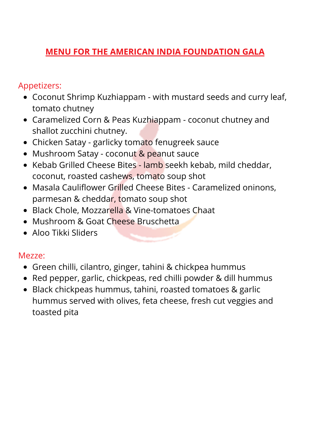## **MENU FOR THE AMERICAN INDIA FOUNDATION GALA**

### Appetizers:

- Coconut Shrimp Kuzhiappam with mustard seeds and curry leaf, tomato chutney
- Caramelized Corn & Peas Kuzhiappam coconut chutney and shallot zucchini chutney.
- Chicken Satay garlicky tomato fenugreek sauce
- Mushroom Satay coconut & peanut sauce
- Kebab Grilled Cheese Bites lamb seekh kebab, mild cheddar, coconut, roasted cashews, tomato soup shot
- Masala Cauliflower Grilled Cheese Bites Caramelized oninons, parmesan & cheddar, tomato soup shot
- Black Chole, Mozzarella & Vine-tomatoes Chaat
- Mushroom & Goat Cheese Bruschetta
- Aloo Tikki Sliders

#### Mezze:

- Green chilli, cilantro, ginger, tahini & chickpea hummus
- Red pepper, garlic, chickpeas, red chilli powder & dill hummus
- Black chickpeas hummus, tahini, roasted tomatoes & garlic hummus served with olives, feta cheese, fresh cut veggies and toasted pita